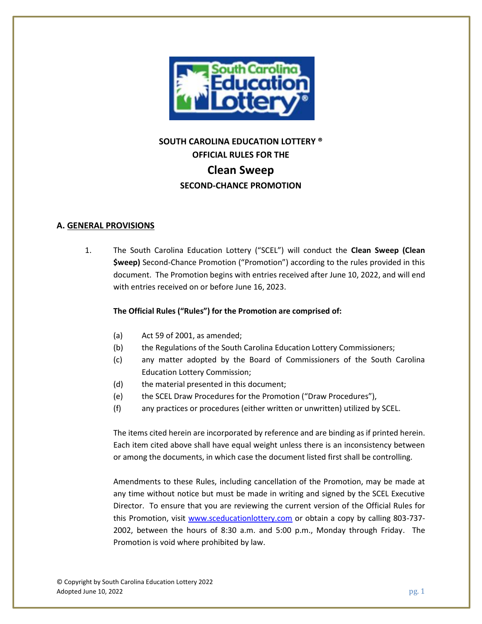

# **SOUTH CAROLINA EDUCATION LOTTERY ® OFFICIAL RULES FOR THE Clean Sweep SECOND-CHANCE PROMOTION**

#### **A. GENERAL PROVISIONS**

1. The South Carolina Education Lottery ("SCEL") will conduct the **Clean Sweep (Clean \$weep)** Second-Chance Promotion ("Promotion") according to the rules provided in this document. The Promotion begins with entries received after June 10, 2022, and will end with entries received on or before June 16, 2023.

#### **The Official Rules ("Rules") for the Promotion are comprised of:**

- (a) Act 59 of 2001, as amended;
- (b) the Regulations of the South Carolina Education Lottery Commissioners;
- (c) any matter adopted by the Board of Commissioners of the South Carolina Education Lottery Commission;
- (d) the material presented in this document;
- (e) the SCEL Draw Procedures for the Promotion ("Draw Procedures"),
- (f) any practices or procedures (either written or unwritten) utilized by SCEL.

The items cited herein are incorporated by reference and are binding as if printed herein. Each item cited above shall have equal weight unless there is an inconsistency between or among the documents, in which case the document listed first shall be controlling.

Amendments to these Rules, including cancellation of the Promotion, may be made at any time without notice but must be made in writing and signed by the SCEL Executive Director. To ensure that you are reviewing the current version of the Official Rules for this Promotion, visit [www.sceducationlottery.com](http://www.sceducationlottery.com/) or obtain a copy by calling 803-737- 2002, between the hours of 8:30 a.m. and 5:00 p.m., Monday through Friday. The Promotion is void where prohibited by law.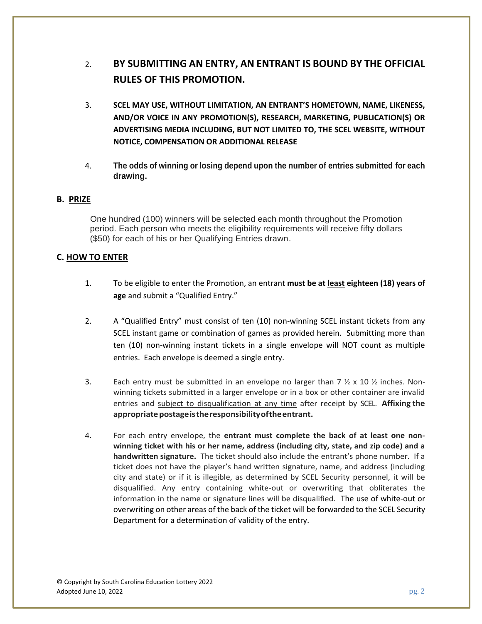## 2. **BY SUBMITTING AN ENTRY, AN ENTRANT IS BOUND BY THE OFFICIAL RULES OF THIS PROMOTION.**

- 3. **SCEL MAY USE, WITHOUT LIMITATION, AN ENTRANT'S HOMETOWN, NAME, LIKENESS, AND/OR VOICE IN ANY PROMOTION(S), RESEARCH, MARKETING, PUBLICATION(S) OR ADVERTISING MEDIA INCLUDING, BUT NOT LIMITED TO, THE SCEL WEBSITE, WITHOUT NOTICE, COMPENSATION OR ADDITIONAL RELEASE**
- 4. **The odds of winning or losing depend upon the number of entries submitted for each drawing.**

#### **B. PRIZE**

One hundred (100) winners will be selected each month throughout the Promotion period. Each person who meets the eligibility requirements will receive fifty dollars (\$50) for each of his or her Qualifying Entries drawn.

#### **C. HOW TO ENTER**

- 1. To be eligible to enter the Promotion, an entrant **must be at least eighteen (18) years of age** and submit a "Qualified Entry."
- 2. A "Qualified Entry" must consist of ten (10) non-winning SCEL instant tickets from any SCEL instant game or combination of games as provided herein. Submitting more than ten (10) non-winning instant tickets in a single envelope will NOT count as multiple entries. Each envelope is deemed a single entry.
- 3. Each entry must be submitted in an envelope no larger than 7  $\frac{1}{2}$  x 10  $\frac{1}{2}$  inches. Nonwinning tickets submitted in a larger envelope or in a box or other container are invalid entries and subject to disqualification at any time after receipt by SCEL. **Affixing the appropriatepostageistheresponsibilityoftheentrant.**
- 4. For each entry envelope, the **entrant must complete the back of at least one nonwinning ticket with his or her name, address (including city, state, and zip code) and a handwritten signature.** The ticket should also include the entrant's phone number. If a ticket does not have the player's hand written signature, name, and address (including city and state) or if it is illegible, as determined by SCEL Security personnel, it will be disqualified. Any entry containing white-out or overwriting that obliterates the information in the name or signature lines will be disqualified. The use of white-out or overwriting on other areas of the back of the ticket will be forwarded to the SCEL Security Department for a determination of validity of the entry.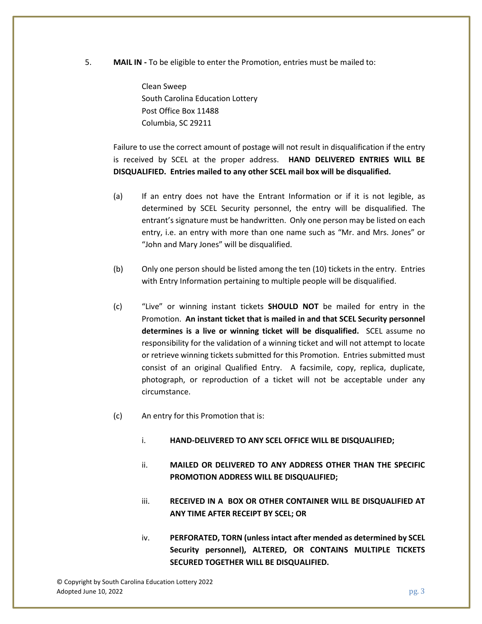5. **MAIL IN -** To be eligible to enter the Promotion, entries must be mailed to:

Clean Sweep South Carolina Education Lottery Post Office Box 11488 Columbia, SC 29211

Failure to use the correct amount of postage will not result in disqualification if the entry is received by SCEL at the proper address. **HAND DELIVERED ENTRIES WILL BE DISQUALIFIED. Entries mailed to any other SCEL mail box will be disqualified.**

- (a) If an entry does not have the Entrant Information or if it is not legible, as determined by SCEL Security personnel, the entry will be disqualified. The entrant's signature must be handwritten. Only one person may be listed on each entry, i.e. an entry with more than one name such as "Mr. and Mrs. Jones" or "John and Mary Jones" will be disqualified.
- (b) Only one person should be listed among the ten (10) tickets in the entry. Entries with Entry Information pertaining to multiple people will be disqualified.
- (c) "Live" or winning instant tickets **SHOULD NOT** be mailed for entry in the Promotion. **An instant ticket that is mailed in and that SCEL Security personnel determines is a live or winning ticket will be disqualified.** SCEL assume no responsibility for the validation of a winning ticket and will not attempt to locate or retrieve winning tickets submitted for this Promotion. Entries submitted must consist of an original Qualified Entry. A facsimile, copy, replica, duplicate, photograph, or reproduction of a ticket will not be acceptable under any circumstance.
- (c) An entry for this Promotion that is:
	- i. **HAND-DELIVERED TO ANY SCEL OFFICE WILL BE DISQUALIFIED;**
	- ii. **MAILED OR DELIVERED TO ANY ADDRESS OTHER THAN THE SPECIFIC PROMOTION ADDRESS WILL BE DISQUALIFIED;**
	- iii. **RECEIVED IN A BOX OR OTHER CONTAINER WILL BE DISQUALIFIED AT ANY TIME AFTER RECEIPT BY SCEL; OR**
	- iv. **PERFORATED, TORN (unless intact after mended as determined by SCEL Security personnel), ALTERED, OR CONTAINS MULTIPLE TICKETS SECURED TOGETHER WILL BE DISQUALIFIED.**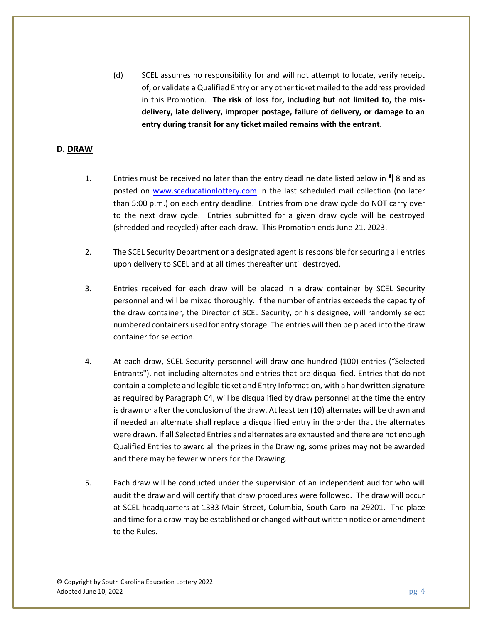(d) SCEL assumes no responsibility for and will not attempt to locate, verify receipt of, or validate a Qualified Entry or any other ticket mailed to the address provided in this Promotion. **The risk of loss for, including but not limited to, the misdelivery, late delivery, improper postage, failure of delivery, or damage to an entry during transit for any ticket mailed remains with the entrant.**

#### **D. DRAW**

- 1. Entries must be received no later than the entry deadline date listed below in *¶* 8 and as posted on [www.sceducationlottery.com](http://www.sceducationlottery.com/) in the last scheduled mail collection (no later than 5:00 p.m.) on each entry deadline. Entries from one draw cycle do NOT carry over to the next draw cycle. Entries submitted for a given draw cycle will be destroyed (shredded and recycled) after each draw. This Promotion ends June 21, 2023.
- 2. The SCEL Security Department or a designated agent is responsible for securing all entries upon delivery to SCEL and at all times thereafter until destroyed.
- 3. Entries received for each draw will be placed in a draw container by SCEL Security personnel and will be mixed thoroughly. If the number of entries exceeds the capacity of the draw container, the Director of SCEL Security, or his designee, will randomly select numbered containers used for entry storage. The entries will then be placed into the draw container for selection.
- 4. At each draw, SCEL Security personnel will draw one hundred (100) entries ("Selected Entrants"), not including alternates and entries that are disqualified. Entries that do not contain a complete and legible ticket and Entry Information, with a handwritten signature as required by Paragraph C4, will be disqualified by draw personnel at the time the entry is drawn or after the conclusion of the draw. At least ten (10) alternates will be drawn and if needed an alternate shall replace a disqualified entry in the order that the alternates were drawn. If all Selected Entries and alternates are exhausted and there are not enough Qualified Entries to award all the prizes in the Drawing, some prizes may not be awarded and there may be fewer winners for the Drawing.
- 5. Each draw will be conducted under the supervision of an independent auditor who will audit the draw and will certify that draw procedures were followed. The draw will occur at SCEL headquarters at 1333 Main Street, Columbia, South Carolina 29201. The place and time for a draw may be established or changed without written notice or amendment to the Rules.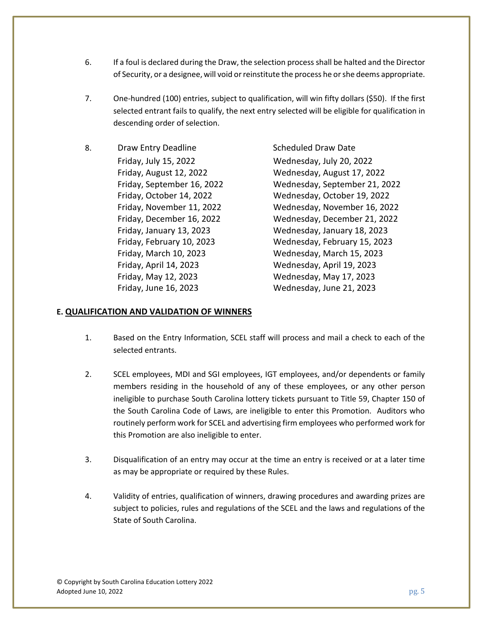- 6. If a foul is declared during the Draw, the selection process shall be halted and the Director of Security, or a designee, will void or reinstitute the process he or she deems appropriate.
- 7. One-hundred (100) entries, subject to qualification, will win fifty dollars (\$50). If the first selected entrant fails to qualify, the next entry selected will be eligible for qualification in descending order of selection.
- 8. Draw Entry Deadline Scheduled Draw Date Friday, July 15, 2022 Wednesday, July 20, 2022 Friday, April 14, 2023 Wednesday, April 19, 2023 Friday, May 12, 2023 Wednesday, May 17, 2023 Friday, June 16, 2023 Wednesday, June 21, 2023

Friday, August 12, 2022 Wednesday, August 17, 2022 Friday, September 16, 2022 Wednesday, September 21, 2022 Friday, October 14, 2022 Wednesday, October 19, 2022 Friday, November 11, 2022 Wednesday, November 16, 2022 Friday, December 16, 2022 Wednesday, December 21, 2022 Friday, January 13, 2023 Wednesday, January 18, 2023 Friday, February 10, 2023 Wednesday, February 15, 2023 Friday, March 10, 2023 Wednesday, March 15, 2023

## **E. QUALIFICATION AND VALIDATION OF WINNERS**

- 1. Based on the Entry Information, SCEL staff will process and mail a check to each of the selected entrants.
- 2. SCEL employees, MDI and SGI employees, IGT employees, and/or dependents or family members residing in the household of any of these employees, or any other person ineligible to purchase South Carolina lottery tickets pursuant to Title 59, Chapter 150 of the South Carolina Code of Laws, are ineligible to enter this Promotion. Auditors who routinely perform work for SCEL and advertising firm employees who performed work for this Promotion are also ineligible to enter.
- 3. Disqualification of an entry may occur at the time an entry is received or at a later time as may be appropriate or required by these Rules.
- 4. Validity of entries, qualification of winners, drawing procedures and awarding prizes are subject to policies, rules and regulations of the SCEL and the laws and regulations of the State of South Carolina.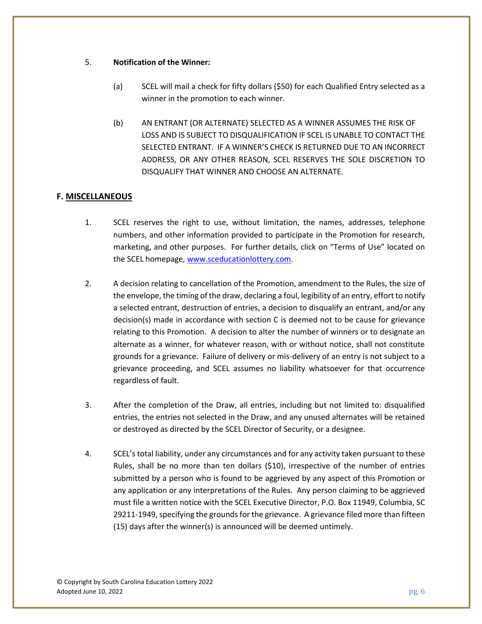#### 5. **Notification of the Winner:**

- (a) SCEL will mail a check for fifty dollars (\$50) for each Qualified Entry selected as a winner in the promotion to each winner.
- (b) AN ENTRANT (OR ALTERNATE) SELECTED AS A WINNER ASSUMES THE RISK OF LOSS AND IS SUBJECT TO DISQUALIFICATION IF SCEL IS UNABLE TO CONTACT THE SELECTED ENTRANT. IF A WINNER'S CHECK IS RETURNED DUE TO AN INCORRECT ADDRESS, OR ANY OTHER REASON, SCEL RESERVES THE SOLE DISCRETION TO DISQUALIFY THAT WINNER AND CHOOSE AN ALTERNATE.

### **F. MISCELLANEOUS**

- 1. SCEL reserves the right to use, without limitation, the names, addresses, telephone numbers, and other information provided to participate in the Promotion for research, marketing, and other purposes. For further details, click on "Terms of Use" located on the SCEL homepage[, www.sceducationlottery.com.](http://www.sceducationlottery.com/)
- 2. A decision relating to cancellation of the Promotion, amendment to the Rules, the size of the envelope, the timing of the draw, declaring a foul, legibility of an entry, effort to notify a selected entrant, destruction of entries, a decision to disqualify an entrant, and/or any decision(s) made in accordance with section C is deemed not to be cause for grievance relating to this Promotion. A decision to alter the number of winners or to designate an alternate as a winner, for whatever reason, with or without notice, shall not constitute grounds for a grievance. Failure of delivery or mis-delivery of an entry is not subject to a grievance proceeding, and SCEL assumes no liability whatsoever for that occurrence regardless of fault.
- 3. After the completion of the Draw, all entries, including but not limited to: disqualified entries, the entries not selected in the Draw, and any unused alternates will be retained or destroyed as directed by the SCEL Director of Security, or a designee.
- 4. SCEL's total liability, under any circumstances and for any activity taken pursuant to these Rules, shall be no more than ten dollars (\$10), irrespective of the number of entries submitted by a person who is found to be aggrieved by any aspect of this Promotion or any application or any interpretations of the Rules. Any person claiming to be aggrieved must file a written notice with the SCEL Executive Director, P.O. Box 11949, Columbia, SC 29211-1949, specifying the grounds for the grievance. A grievance filed more than fifteen (15) days after the winner(s) is announced will be deemed untimely.